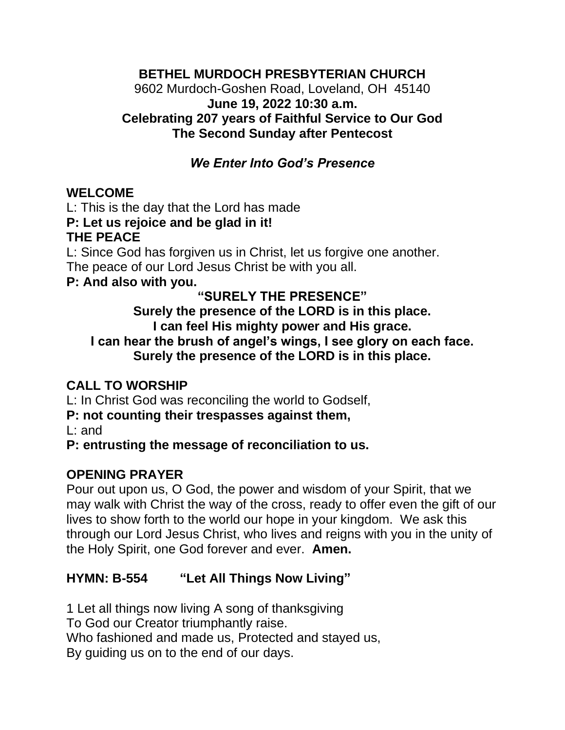### **BETHEL MURDOCH PRESBYTERIAN CHURCH**

#### 9602 Murdoch-Goshen Road, Loveland, OH 45140 **June 19, 2022 10:30 a.m. Celebrating 207 years of Faithful Service to Our God The Second Sunday after Pentecost**

# *We Enter Into God's Presence*

### **WELCOME**

L: This is the day that the Lord has made **P: Let us rejoice and be glad in it! THE PEACE**

L: Since God has forgiven us in Christ, let us forgive one another. The peace of our Lord Jesus Christ be with you all.

**P: And also with you.**

### **"SURELY THE PRESENCE"**

# **Surely the presence of the LORD is in this place. I can feel His mighty power and His grace.**

**I can hear the brush of angel's wings, I see glory on each face. Surely the presence of the LORD is in this place.**

# **CALL TO WORSHIP**

L: In Christ God was reconciling the world to Godself,

**P: not counting their trespasses against them,**

L: and

**P: entrusting the message of reconciliation to us.**

# **OPENING PRAYER**

Pour out upon us, O God, the power and wisdom of your Spirit, that we may walk with Christ the way of the cross, ready to offer even the gift of our lives to show forth to the world our hope in your kingdom. We ask this through our Lord Jesus Christ, who lives and reigns with you in the unity of the Holy Spirit, one God forever and ever. **Amen.**

# **HYMN: B-554 "Let All Things Now Living"**

1 Let all things now living A song of thanksgiving To God our Creator triumphantly raise. Who fashioned and made us, Protected and stayed us, By guiding us on to the end of our days.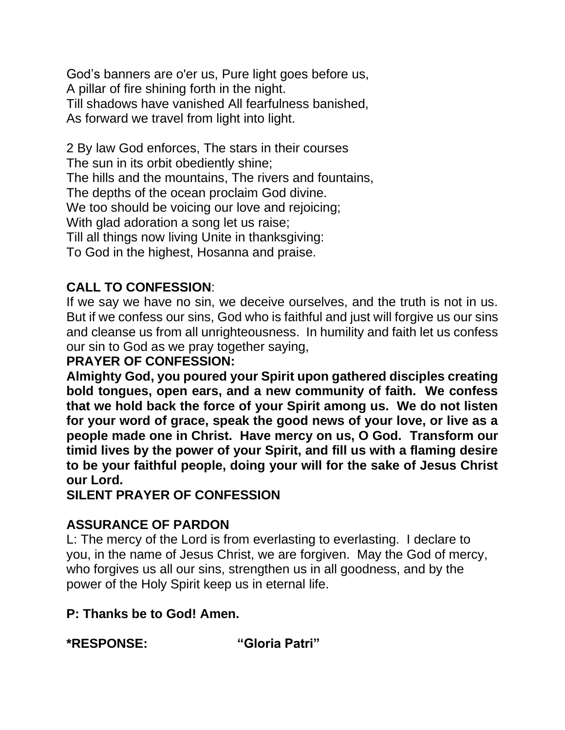God's banners are o'er us, Pure light goes before us, A pillar of fire shining forth in the night. Till shadows have vanished All fearfulness banished, As forward we travel from light into light.

2 By law God enforces, The stars in their courses The sun in its orbit obediently shine; The hills and the mountains, The rivers and fountains, The depths of the ocean proclaim God divine. We too should be voicing our love and rejoicing; With glad adoration a song let us raise; Till all things now living Unite in thanksgiving: To God in the highest, Hosanna and praise.

# **CALL TO CONFESSION**:

If we say we have no sin, we deceive ourselves, and the truth is not in us. But if we confess our sins, God who is faithful and just will forgive us our sins and cleanse us from all unrighteousness. In humility and faith let us confess our sin to God as we pray together saying,

# **PRAYER OF CONFESSION:**

**Almighty God, you poured your Spirit upon gathered disciples creating bold tongues, open ears, and a new community of faith. We confess that we hold back the force of your Spirit among us. We do not listen for your word of grace, speak the good news of your love, or live as a people made one in Christ. Have mercy on us, O God. Transform our timid lives by the power of your Spirit, and fill us with a flaming desire to be your faithful people, doing your will for the sake of Jesus Christ our Lord.**

**SILENT PRAYER OF CONFESSION**

# **ASSURANCE OF PARDON**

L: The mercy of the Lord is from everlasting to everlasting. I declare to you, in the name of Jesus Christ, we are forgiven. May the God of mercy, who forgives us all our sins, strengthen us in all goodness, and by the power of the Holy Spirit keep us in eternal life.

#### **P: Thanks be to God! Amen.**

**\*RESPONSE: "Gloria Patri"**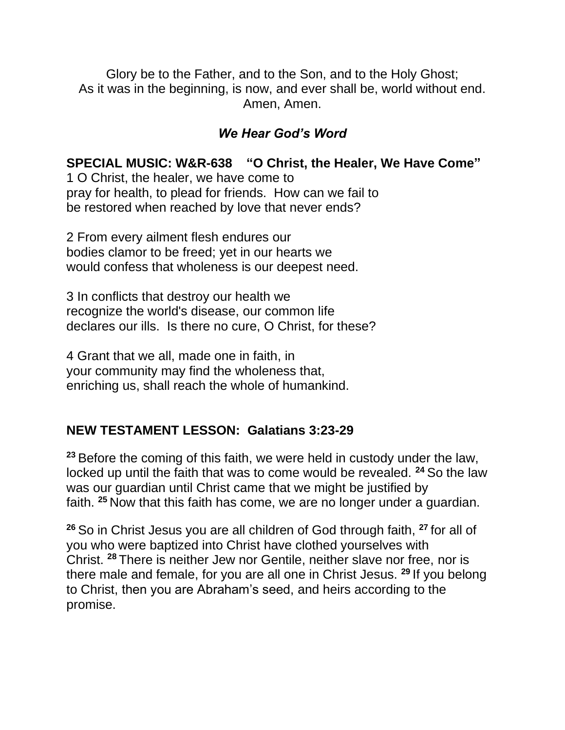Glory be to the Father, and to the Son, and to the Holy Ghost; As it was in the beginning, is now, and ever shall be, world without end. Amen, Amen.

# *We Hear God's Word*

### **SPECIAL MUSIC: W&R-638 "O Christ, the Healer, We Have Come"**

1 O Christ, the healer, we have come to pray for health, to plead for friends. How can we fail to be restored when reached by love that never ends?

2 From every ailment flesh endures our bodies clamor to be freed; yet in our hearts we would confess that wholeness is our deepest need.

3 In conflicts that destroy our health we recognize the world's disease, our common life declares our ills. Is there no cure, O Christ, for these?

4 Grant that we all, made one in faith, in your community may find the wholeness that, enriching us, shall reach the whole of humankind.

# **NEW TESTAMENT LESSON: Galatians 3:23-29**

**<sup>23</sup>** Before the coming of this faith, we were held in custody under the law, locked up until the faith that was to come would be revealed. **<sup>24</sup>** So the law was our guardian until Christ came that we might be justified by faith. **<sup>25</sup>** Now that this faith has come, we are no longer under a guardian.

**<sup>26</sup>** So in Christ Jesus you are all children of God through faith, **<sup>27</sup>** for all of you who were baptized into Christ have clothed yourselves with Christ. **<sup>28</sup>** There is neither Jew nor Gentile, neither slave nor free, nor is there male and female, for you are all one in Christ Jesus. **<sup>29</sup>** If you belong to Christ, then you are Abraham's seed, and heirs according to the promise.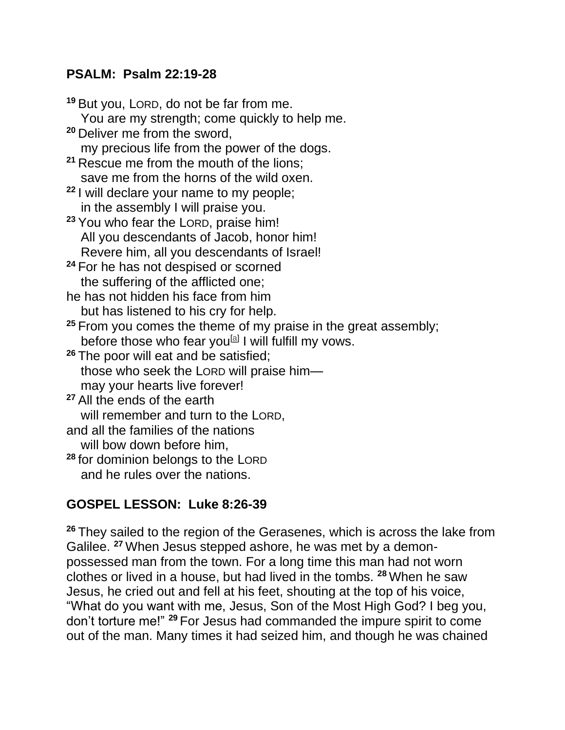#### **PSALM: Psalm 22:19-28**

**<sup>19</sup>** But you, LORD, do not be far from me. You are my strength; come quickly to help me. **<sup>20</sup>** Deliver me from the sword, my precious life from the power of the dogs. **<sup>21</sup>** Rescue me from the mouth of the lions; save me from the horns of the wild oxen. **<sup>22</sup>** I will declare your name to my people; in the assembly I will praise you. **<sup>23</sup>** You who fear the LORD, praise him! All you descendants of Jacob, honor him! Revere him, all you descendants of Israel! **<sup>24</sup>** For he has not despised or scorned the suffering of the afflicted one; he has not hidden his face from him but has listened to his cry for help. **<sup>25</sup>** From you comes the theme of my praise in the great assembly; before those who fear you<sup>[\[a\]](about:blank#fen-NIV-14230a)</sup> I will fulfill my vows. **<sup>26</sup>** The poor will eat and be satisfied; those who seek the LORD will praise him may your hearts live forever! **<sup>27</sup>** All the ends of the earth will remember and turn to the LORD, and all the families of the nations will bow down before him, **<sup>28</sup>** for dominion belongs to the LORD and he rules over the nations.

# **GOSPEL LESSON: Luke 8:26-39**

**<sup>26</sup>** They sailed to the region of the Gerasenes, which is across the lake from Galilee. **<sup>27</sup>** When Jesus stepped ashore, he was met by a demonpossessed man from the town. For a long time this man had not worn clothes or lived in a house, but had lived in the tombs. **<sup>28</sup>** When he saw Jesus, he cried out and fell at his feet, shouting at the top of his voice, "What do you want with me, Jesus, Son of the Most High God? I beg you, don't torture me!" **<sup>29</sup>** For Jesus had commanded the impure spirit to come out of the man. Many times it had seized him, and though he was chained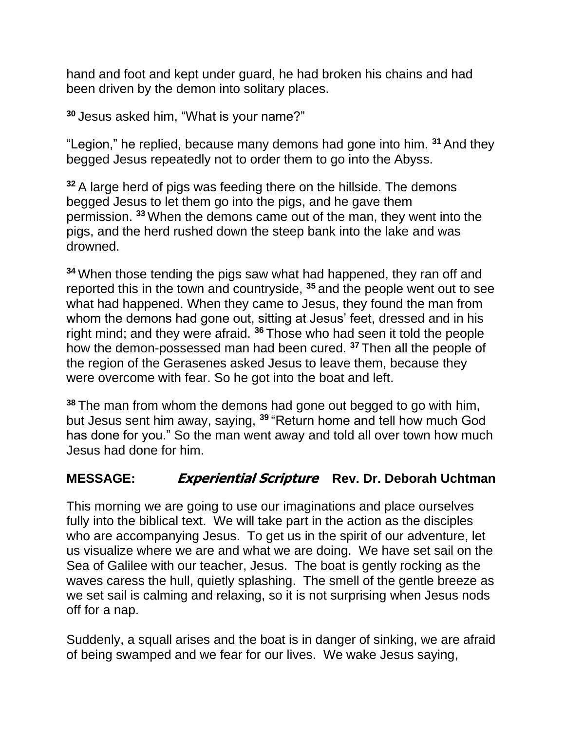hand and foot and kept under guard, he had broken his chains and had been driven by the demon into solitary places.

**<sup>30</sup>** Jesus asked him, "What is your name?"

"Legion," he replied, because many demons had gone into him. **<sup>31</sup>** And they begged Jesus repeatedly not to order them to go into the Abyss.

**<sup>32</sup>** A large herd of pigs was feeding there on the hillside. The demons begged Jesus to let them go into the pigs, and he gave them permission. **<sup>33</sup>** When the demons came out of the man, they went into the pigs, and the herd rushed down the steep bank into the lake and was drowned.

**<sup>34</sup>** When those tending the pigs saw what had happened, they ran off and reported this in the town and countryside, **<sup>35</sup>** and the people went out to see what had happened. When they came to Jesus, they found the man from whom the demons had gone out, sitting at Jesus' feet, dressed and in his right mind; and they were afraid. **<sup>36</sup>** Those who had seen it told the people how the demon-possessed man had been cured. **<sup>37</sup>** Then all the people of the region of the Gerasenes asked Jesus to leave them, because they were overcome with fear. So he got into the boat and left.

**<sup>38</sup>** The man from whom the demons had gone out begged to go with him, but Jesus sent him away, saying, **<sup>39</sup>** "Return home and tell how much God has done for you." So the man went away and told all over town how much Jesus had done for him.

# **MESSAGE: Experiential Scripture Rev. Dr. Deborah Uchtman**

This morning we are going to use our imaginations and place ourselves fully into the biblical text. We will take part in the action as the disciples who are accompanying Jesus. To get us in the spirit of our adventure, let us visualize where we are and what we are doing. We have set sail on the Sea of Galilee with our teacher, Jesus. The boat is gently rocking as the waves caress the hull, quietly splashing. The smell of the gentle breeze as we set sail is calming and relaxing, so it is not surprising when Jesus nods off for a nap.

Suddenly, a squall arises and the boat is in danger of sinking, we are afraid of being swamped and we fear for our lives. We wake Jesus saying,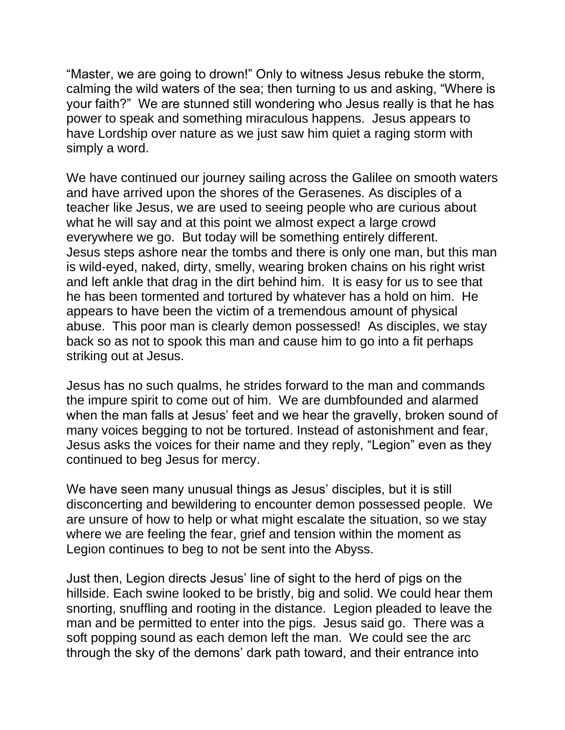"Master, we are going to drown!" Only to witness Jesus rebuke the storm, calming the wild waters of the sea; then turning to us and asking, "Where is your faith?" We are stunned still wondering who Jesus really is that he has power to speak and something miraculous happens. Jesus appears to have Lordship over nature as we just saw him quiet a raging storm with simply a word.

We have continued our journey sailing across the Galilee on smooth waters and have arrived upon the shores of the Gerasenes. As disciples of a teacher like Jesus, we are used to seeing people who are curious about what he will say and at this point we almost expect a large crowd everywhere we go. But today will be something entirely different. Jesus steps ashore near the tombs and there is only one man, but this man is wild-eyed, naked, dirty, smelly, wearing broken chains on his right wrist and left ankle that drag in the dirt behind him. It is easy for us to see that he has been tormented and tortured by whatever has a hold on him. He appears to have been the victim of a tremendous amount of physical abuse. This poor man is clearly demon possessed! As disciples, we stay back so as not to spook this man and cause him to go into a fit perhaps striking out at Jesus.

Jesus has no such qualms, he strides forward to the man and commands the impure spirit to come out of him. We are dumbfounded and alarmed when the man falls at Jesus' feet and we hear the gravelly, broken sound of many voices begging to not be tortured. Instead of astonishment and fear, Jesus asks the voices for their name and they reply, "Legion" even as they continued to beg Jesus for mercy.

We have seen many unusual things as Jesus' disciples, but it is still disconcerting and bewildering to encounter demon possessed people. We are unsure of how to help or what might escalate the situation, so we stay where we are feeling the fear, grief and tension within the moment as Legion continues to beg to not be sent into the Abyss.

Just then, Legion directs Jesus' line of sight to the herd of pigs on the hillside. Each swine looked to be bristly, big and solid. We could hear them snorting, snuffling and rooting in the distance. Legion pleaded to leave the man and be permitted to enter into the pigs. Jesus said go. There was a soft popping sound as each demon left the man. We could see the arc through the sky of the demons' dark path toward, and their entrance into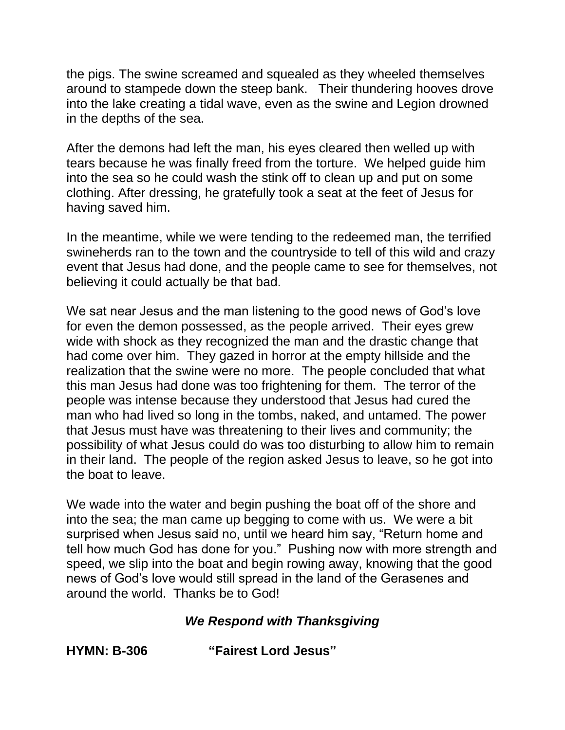the pigs. The swine screamed and squealed as they wheeled themselves around to stampede down the steep bank. Their thundering hooves drove into the lake creating a tidal wave, even as the swine and Legion drowned in the depths of the sea.

After the demons had left the man, his eyes cleared then welled up with tears because he was finally freed from the torture. We helped guide him into the sea so he could wash the stink off to clean up and put on some clothing. After dressing, he gratefully took a seat at the feet of Jesus for having saved him.

In the meantime, while we were tending to the redeemed man, the terrified swineherds ran to the town and the countryside to tell of this wild and crazy event that Jesus had done, and the people came to see for themselves, not believing it could actually be that bad.

We sat near Jesus and the man listening to the good news of God's love for even the demon possessed, as the people arrived. Their eyes grew wide with shock as they recognized the man and the drastic change that had come over him. They gazed in horror at the empty hillside and the realization that the swine were no more. The people concluded that what this man Jesus had done was too frightening for them. The terror of the people was intense because they understood that Jesus had cured the man who had lived so long in the tombs, naked, and untamed. The power that Jesus must have was threatening to their lives and community; the possibility of what Jesus could do was too disturbing to allow him to remain in their land. The people of the region asked Jesus to leave, so he got into the boat to leave.

We wade into the water and begin pushing the boat off of the shore and into the sea; the man came up begging to come with us. We were a bit surprised when Jesus said no, until we heard him say, "Return home and tell how much God has done for you." Pushing now with more strength and speed, we slip into the boat and begin rowing away, knowing that the good news of God's love would still spread in the land of the Gerasenes and around the world. Thanks be to God!

#### *We Respond with Thanksgiving*

**HYMN: B-306 "Fairest Lord Jesus"**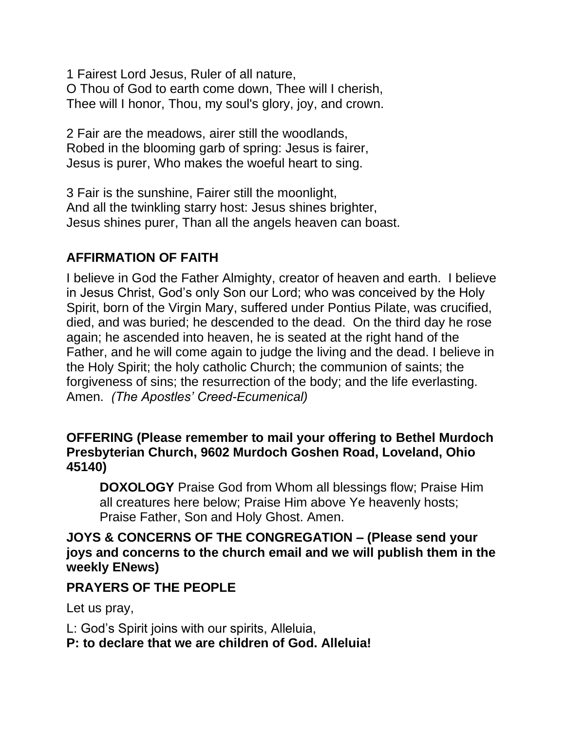1 Fairest Lord Jesus, Ruler of all nature, O Thou of God to earth come down, Thee will I cherish, Thee will I honor, Thou, my soul's glory, joy, and crown.

2 Fair are the meadows, airer still the woodlands, Robed in the blooming garb of spring: Jesus is fairer, Jesus is purer, Who makes the woeful heart to sing.

3 Fair is the sunshine, Fairer still the moonlight, And all the twinkling starry host: Jesus shines brighter, Jesus shines purer, Than all the angels heaven can boast.

# **AFFIRMATION OF FAITH**

I believe in God the Father Almighty, creator of heaven and earth. I believe in Jesus Christ, God's only Son our Lord; who was conceived by the Holy Spirit, born of the Virgin Mary, suffered under Pontius Pilate, was crucified, died, and was buried; he descended to the dead. On the third day he rose again; he ascended into heaven, he is seated at the right hand of the Father, and he will come again to judge the living and the dead. I believe in the Holy Spirit; the holy catholic Church; the communion of saints; the forgiveness of sins; the resurrection of the body; and the life everlasting. Amen. *(The Apostles' Creed-Ecumenical)*

#### **OFFERING (Please remember to mail your offering to Bethel Murdoch Presbyterian Church, 9602 Murdoch Goshen Road, Loveland, Ohio 45140)**

**DOXOLOGY** Praise God from Whom all blessings flow; Praise Him all creatures here below; Praise Him above Ye heavenly hosts; Praise Father, Son and Holy Ghost. Amen.

#### **JOYS & CONCERNS OF THE CONGREGATION – (Please send your joys and concerns to the church email and we will publish them in the weekly ENews)**

# **PRAYERS OF THE PEOPLE**

Let us pray,

L: God's Spirit joins with our spirits, Alleluia,

**P: to declare that we are children of God. Alleluia!**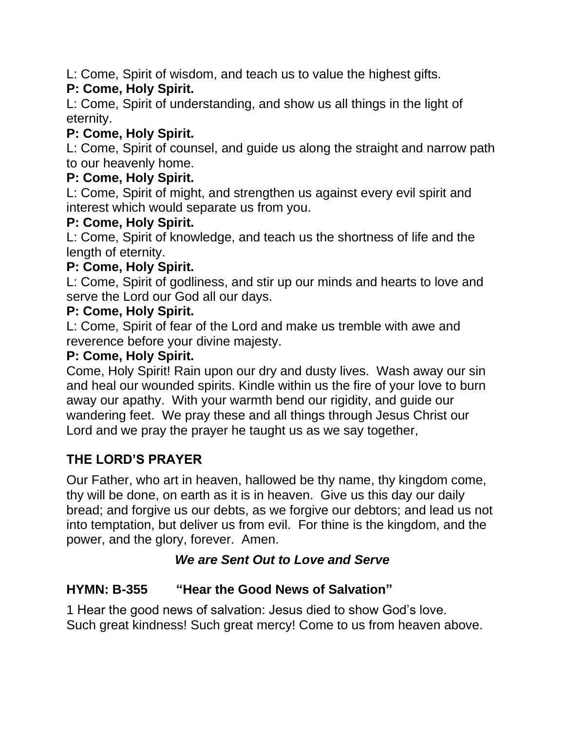L: Come, Spirit of wisdom, and teach us to value the highest gifts.

# **P: Come, Holy Spirit.**

L: Come, Spirit of understanding, and show us all things in the light of eternity.

# **P: Come, Holy Spirit.**

L: Come, Spirit of counsel, and guide us along the straight and narrow path to our heavenly home.

# **P: Come, Holy Spirit.**

L: Come, Spirit of might, and strengthen us against every evil spirit and interest which would separate us from you.

# **P: Come, Holy Spirit.**

L: Come, Spirit of knowledge, and teach us the shortness of life and the length of eternity.

# **P: Come, Holy Spirit.**

L: Come, Spirit of godliness, and stir up our minds and hearts to love and serve the Lord our God all our days.

### **P: Come, Holy Spirit.**

L: Come, Spirit of fear of the Lord and make us tremble with awe and reverence before your divine majesty.

### **P: Come, Holy Spirit.**

Come, Holy Spirit! Rain upon our dry and dusty lives. Wash away our sin and heal our wounded spirits. Kindle within us the fire of your love to burn away our apathy. With your warmth bend our rigidity, and guide our wandering feet. We pray these and all things through Jesus Christ our Lord and we pray the prayer he taught us as we say together,

# **THE LORD'S PRAYER**

Our Father, who art in heaven, hallowed be thy name, thy kingdom come, thy will be done, on earth as it is in heaven. Give us this day our daily bread; and forgive us our debts, as we forgive our debtors; and lead us not into temptation, but deliver us from evil. For thine is the kingdom, and the power, and the glory, forever. Amen.

# *We are Sent Out to Love and Serve*

# **HYMN: B-355 "Hear the Good News of Salvation"**

1 Hear the good news of salvation: Jesus died to show God's love. Such great kindness! Such great mercy! Come to us from heaven above.